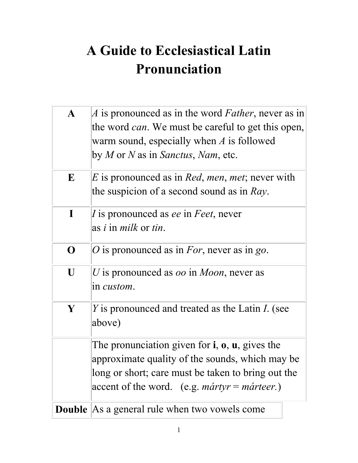## **A Guide to Ecclesiastical Latin Pronunciation**

| $\mathbf{A}$ | A is pronounced as in the word Father, never as in                                 |
|--------------|------------------------------------------------------------------------------------|
|              | the word <i>can</i> . We must be careful to get this open,                         |
|              | warm sound, especially when $A$ is followed                                        |
|              | by <i>M</i> or <i>N</i> as in <i>Sanctus</i> , <i>Nam</i> , etc.                   |
| E            | <i>E</i> is pronounced as in <i>Red, men, met</i> ; never with                     |
|              | the suspicion of a second sound as in $Ray$ .                                      |
| $\mathbf I$  | I is pronounced as <i>ee</i> in <i>Feet</i> , never                                |
|              | as <i>i</i> in <i>milk</i> or <i>tin</i> .                                         |
| $\mathbf 0$  | O is pronounced as in For, never as in go.                                         |
| U            | U is pronounced as <i>oo</i> in <i>Moon</i> , never as                             |
|              | in <i>custom</i> .                                                                 |
| Y            | <i>Y</i> is pronounced and treated as the Latin <i>I</i> . (see                    |
|              | above)                                                                             |
|              | The pronunciation given for $\mathbf{i}$ , $\mathbf{o}$ , $\mathbf{u}$ , gives the |
|              | approximate quality of the sounds, which may be                                    |
|              | long or short; care must be taken to bring out the                                 |
|              | accent of the word. (e.g. <i>martyr</i> = <i>marteer</i> .)                        |
|              | <b>Double</b> As a general rule when two vowels come                               |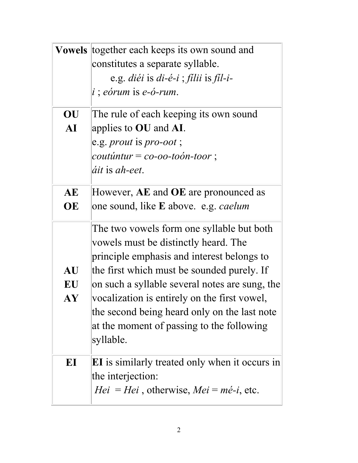| <b>Vowels</b> | together each keeps its own sound and<br>constitutes a separate syllable.      |
|---------------|--------------------------------------------------------------------------------|
|               |                                                                                |
|               | e.g. <i>diéi</i> is <i>di-é-i</i> ; <i>filii</i> is <i>fil-i-</i>              |
|               | $i$ ; eórum is e-ó-rum.                                                        |
| OU            | The rule of each keeping its own sound                                         |
| ${\bf AI}$    | applies to $OU$ and $AI$ .                                                     |
|               | e.g. <i>prout</i> is <i>pro-oot</i> ;                                          |
|               | $\textit{coutúntur} = \textit{co-oo-toon-toor}$ ;                              |
|               | <i>áit</i> is ah-eet.                                                          |
| AE            | However, AE and OE are pronounced as                                           |
| OE            | one sound, like <b>E</b> above. e.g. <i>caelum</i>                             |
|               | The two vowels form one syllable but both                                      |
|               | vowels must be distinctly heard. The                                           |
|               | principle emphasis and interest belongs to                                     |
| <b>AU</b>     | the first which must be sounded purely. If                                     |
| EU            | on such a syllable several notes are sung, the                                 |
| AY            | vocalization is entirely on the first vowel,                                   |
|               | the second being heard only on the last note                                   |
|               | at the moment of passing to the following                                      |
|               | syllable.                                                                      |
| EI            | <b>EI</b> is similarly treated only when it occurs in                          |
|               | the interjection:                                                              |
|               | <i>Hei</i> = <i>Hei</i> , otherwise, <i>Mei</i> = $m\acute{e}\text{-}i$ , etc. |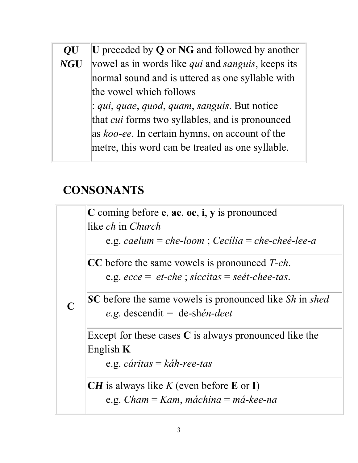## *Q***U** *NG***U U** preceded by **Q** or **NG** and followed by another vowel as in words like *qui* and *sanguis*, keeps its normal sound and is uttered as one syllable with the vowel which follows : *qui*, *quae*, *quod*, *quam*, *sanguis*. But notice that *cui* forms two syllables, and is pronounced as *koo-ee*. In certain hymns, on account of the metre, this word can be treated as one syllable.

## **CONSONANTS**

**C**

**C** coming before **e**, **ae**, **oe**, **i**, **y** is pronounced like *ch* in *Church*

e.g. *caelum* = *che-loom* ; *Cecília* = *che-cheé-lee-a*

**CC** before the same vowels is pronounced *T-ch*. e.g. *ecce* = *et-che* ; *síccitas* = *seét-chee-tas*.

*S***C** before the same vowels is pronounced like *Sh* in *shed e.g.* descendit *=* de-sh*én-deet*

Except for these cases **C** is always pronounced like the English **K**

e.g. *cáritas* = *káh-ree-tas*

**CH** is always like  $K$  (even before **E** or **I**) e.g. *Cham* = *Kam*, *máchina* = *má-kee-na*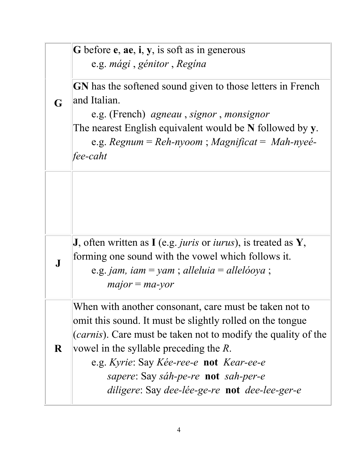|              | G before e, ae, i, y, is soft as in generous<br>e.g. mági, génitor, Regína              |
|--------------|-----------------------------------------------------------------------------------------|
| G            | GN has the softened sound given to those letters in French<br>and Italian.              |
|              | e.g. (French) <i>agneau</i> , <i>signor</i> , <i>monsignor</i>                          |
|              | The nearest English equivalent would be N followed by y.                                |
|              | e.g. Regnum = Reh-nyoom; Magnificat = Mah-nyeé-                                         |
|              | fee-caht                                                                                |
|              |                                                                                         |
|              | <b>J</b> , often written as I (e.g. <i>juris</i> or <i>iurus</i> ), is treated as $Y$ , |
| $\mathbf{J}$ | forming one sound with the vowel which follows it.                                      |
|              | e.g. jam, iam = yam; alleluia = allelóoya;                                              |
|              | $major = ma$ -yor                                                                       |
|              | When with another consonant, care must be taken not to                                  |
|              | omit this sound. It must be slightly rolled on the tongue                               |
|              | ( <i>carnis</i> ). Care must be taken not to modify the quality of the                  |
| $\bf R$      | vowel in the syllable preceding the $R$ .                                               |
|              | e.g. Kyrie: Say Kée-ree-e not Kear-ee-e                                                 |
|              | <i>sapere:</i> Say <i>sáh-pe-re</i> <b>not</b> <i>sah-per-e</i>                         |
|              | diligere: Say dee-lée-ge-re not dee-lee-ger-e                                           |
|              |                                                                                         |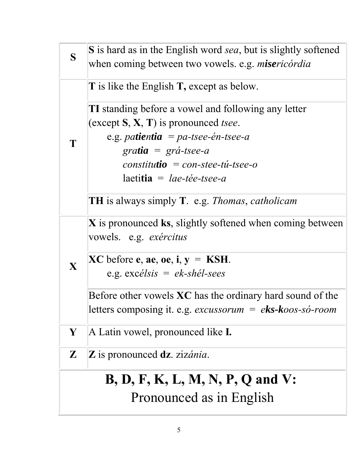| S                                        | <b>S</b> is hard as in the English word sea, but is slightly softened<br>when coming between two vowels. e.g. misericórdia                                                                                                                                                                                                                              |  |
|------------------------------------------|---------------------------------------------------------------------------------------------------------------------------------------------------------------------------------------------------------------------------------------------------------------------------------------------------------------------------------------------------------|--|
|                                          | <b>T</b> is like the English <b>T</b> , except as below.                                                                                                                                                                                                                                                                                                |  |
|                                          | <b>TI</b> standing before a vowel and following any letter<br>(except $S, X, T$ ) is pronounced <i>tsee</i> .<br>e.g. <i>patientia</i> = $pa$ -tsee-én-tsee-a<br>gratia = $gr\acute{a}$ -tsee-a<br>$constitutio = con-stee-tu-tsee-o$<br>$la$ laetitia = lae-tée-tsee-a<br><b>TH</b> is always simply <b>T</b> . e.g. <i>Thomas</i> , <i>catholicam</i> |  |
| X                                        | $X$ is pronounced ks, slightly softened when coming between<br>vowels. e.g. <i>exércitus</i>                                                                                                                                                                                                                                                            |  |
|                                          | $XC$ before e, ae, oe, i, $y = KSH$ .<br>e.g. $excélsis = ek-sh\acute{e}l-sees$                                                                                                                                                                                                                                                                         |  |
|                                          | Before other vowels $XC$ has the ordinary hard sound of the<br>letters composing it. e.g. excussorum = eks-koos-só-room                                                                                                                                                                                                                                 |  |
| Y                                        | A Latin vowel, pronounced like <b>I</b> .                                                                                                                                                                                                                                                                                                               |  |
| ${\bf Z}$                                | $\mathbf{Z}$ is pronounced $\mathbf{dz}$ . zizánia.                                                                                                                                                                                                                                                                                                     |  |
| <b>B</b> , D, F, K, L, M, N, P, Q and V: |                                                                                                                                                                                                                                                                                                                                                         |  |
| Pronounced as in English                 |                                                                                                                                                                                                                                                                                                                                                         |  |